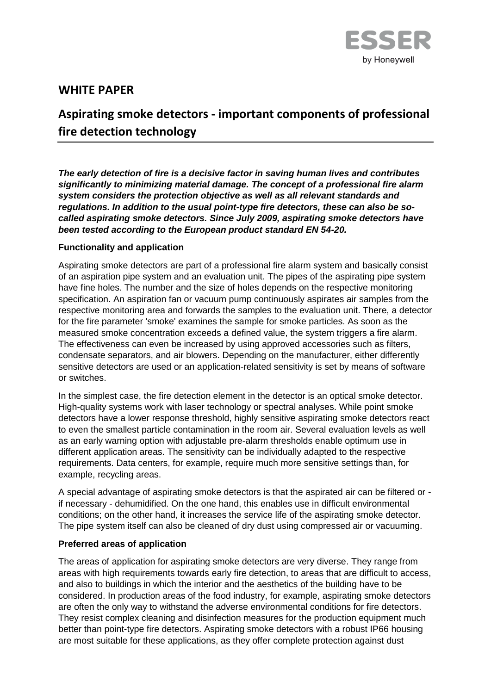

# **WHITE PAPER**

# **Aspirating smoke detectors - important components of professional fire detection technology**

*The early detection of fire is a decisive factor in saving human lives and contributes significantly to minimizing material damage. The concept of a professional fire alarm system considers the protection objective as well as all relevant standards and regulations. In addition to the usual point-type fire detectors, these can also be socalled aspirating smoke detectors. Since July 2009, aspirating smoke detectors have been tested according to the European product standard EN 54-20.*

#### **Functionality and application**

Aspirating smoke detectors are part of a professional fire alarm system and basically consist of an aspiration pipe system and an evaluation unit. The pipes of the aspirating pipe system have fine holes. The number and the size of holes depends on the respective monitoring specification. An aspiration fan or vacuum pump continuously aspirates air samples from the respective monitoring area and forwards the samples to the evaluation unit. There, a detector for the fire parameter 'smoke' examines the sample for smoke particles. As soon as the measured smoke concentration exceeds a defined value, the system triggers a fire alarm. The effectiveness can even be increased by using approved accessories such as filters, condensate separators, and air blowers. Depending on the manufacturer, either differently sensitive detectors are used or an application-related sensitivity is set by means of software or switches.

In the simplest case, the fire detection element in the detector is an optical smoke detector. High-quality systems work with laser technology or spectral analyses. While point smoke detectors have a lower response threshold, highly sensitive aspirating smoke detectors react to even the smallest particle contamination in the room air. Several evaluation levels as well as an early warning option with adjustable pre-alarm thresholds enable optimum use in different application areas. The sensitivity can be individually adapted to the respective requirements. Data centers, for example, require much more sensitive settings than, for example, recycling areas.

A special advantage of aspirating smoke detectors is that the aspirated air can be filtered or if necessary - dehumidified. On the one hand, this enables use in difficult environmental conditions; on the other hand, it increases the service life of the aspirating smoke detector. The pipe system itself can also be cleaned of dry dust using compressed air or vacuuming.

## **Preferred areas of application**

The areas of application for aspirating smoke detectors are very diverse. They range from areas with high requirements towards early fire detection, to areas that are difficult to access, and also to buildings in which the interior and the aesthetics of the building have to be considered. In production areas of the food industry, for example, aspirating smoke detectors are often the only way to withstand the adverse environmental conditions for fire detectors. They resist complex cleaning and disinfection measures for the production equipment much better than point-type fire detectors. Aspirating smoke detectors with a robust IP66 housing are most suitable for these applications, as they offer complete protection against dust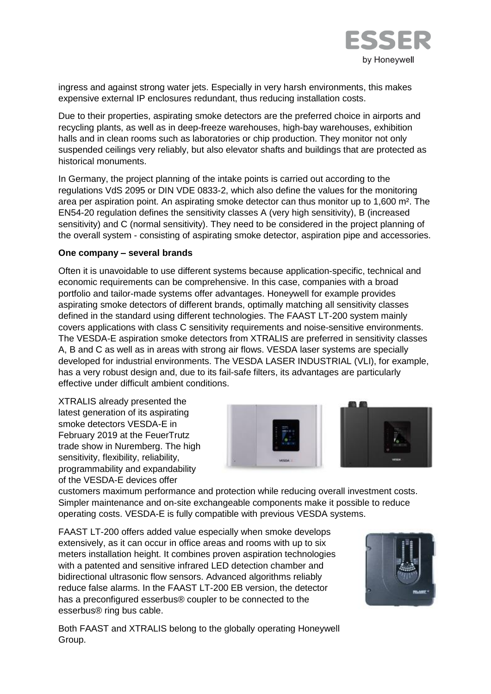

ingress and against strong water jets. Especially in very harsh environments, this makes expensive external IP enclosures redundant, thus reducing installation costs.

Due to their properties, aspirating smoke detectors are the preferred choice in airports and recycling plants, as well as in deep-freeze warehouses, high-bay warehouses, exhibition halls and in clean rooms such as laboratories or chip production. They monitor not only suspended ceilings very reliably, but also elevator shafts and buildings that are protected as historical monuments.

In Germany, the project planning of the intake points is carried out according to the regulations VdS 2095 or DIN VDE 0833-2, which also define the values for the monitoring area per aspiration point. An aspirating smoke detector can thus monitor up to 1,600 m². The EN54-20 regulation defines the sensitivity classes A (very high sensitivity), B (increased sensitivity) and C (normal sensitivity). They need to be considered in the project planning of the overall system - consisting of aspirating smoke detector, aspiration pipe and accessories.

#### **One company – several brands**

Often it is unavoidable to use different systems because application-specific, technical and economic requirements can be comprehensive. In this case, companies with a broad portfolio and tailor-made systems offer advantages. Honeywell for example provides aspirating smoke detectors of different brands, optimally matching all sensitivity classes defined in the standard using different technologies. The FAAST LT-200 system mainly covers applications with class C sensitivity requirements and noise-sensitive environments. The VESDA-E aspiration smoke detectors from XTRALIS are preferred in sensitivity classes A, B and C as well as in areas with strong air flows. VESDA laser systems are specially developed for industrial environments. The VESDA LASER INDUSTRIAL (VLI), for example, has a very robust design and, due to its fail-safe filters, its advantages are particularly effective under difficult ambient conditions.

XTRALIS already presented the latest generation of its aspirating smoke detectors VESDA-E in February 2019 at the FeuerTrutz trade show in Nuremberg. The high sensitivity, flexibility, reliability, programmability and expandability of the VESDA-E devices offer



customers maximum performance and protection while reducing overall investment costs. Simpler maintenance and on-site exchangeable components make it possible to reduce operating costs. VESDA-E is fully compatible with previous VESDA systems.

FAAST LT-200 offers added value especially when smoke develops extensively, as it can occur in office areas and rooms with up to six meters installation height. It combines proven aspiration technologies with a patented and sensitive infrared LED detection chamber and bidirectional ultrasonic flow sensors. Advanced algorithms reliably reduce false alarms. In the FAAST LT-200 EB version, the detector has a preconfigured esserbus® coupler to be connected to the esserbus® ring bus cable.